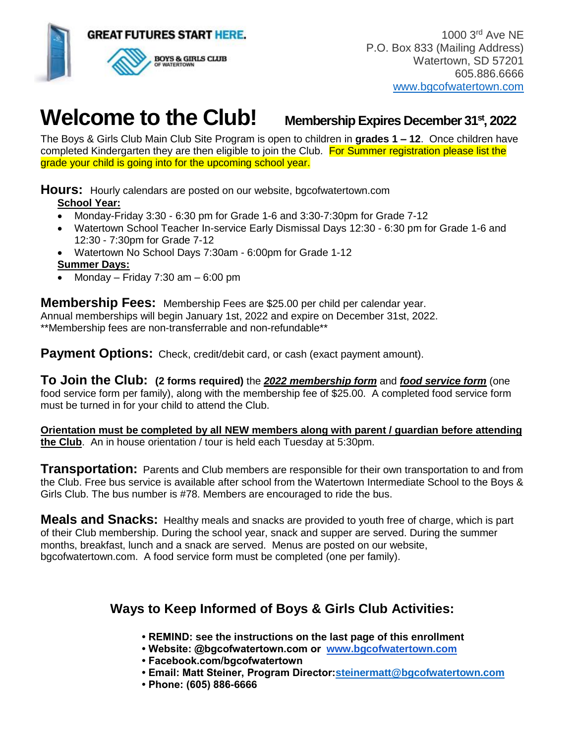

 1000 3rd Ave NE P.O. Box 833 (Mailing Address) Watertown, SD 57201 605.886.6666 [www.bgcofwatertown.com](http://www.bgcofwatertown.com/) 

# **Welcome to the Club! Membership Expires December 31st, 2022**

The Boys & Girls Club Main Club Site Program is open to children in **grades 1 – 12**. Once children have completed Kindergarten they are then eligible to join the Club. For Summer registration please list the grade your child is going into for the upcoming school year.

**Hours:** Hourly calendars are posted on our website, bgcofwatertown.com **School Year:** 

- Monday-Friday 3:30 6:30 pm for Grade 1-6 and 3:30-7:30pm for Grade 7-12
- Watertown School Teacher In-service Early Dismissal Days 12:30 6:30 pm for Grade 1-6 and 12:30 - 7:30pm for Grade 7-12
- Watertown No School Days 7:30am 6:00pm for Grade 1-12

• Monday – Friday 7:30 am – 6:00 pm

**Membership Fees:** Membership Fees are \$25.00 per child per calendar year.

Annual memberships will begin January 1st, 2022 and expire on December 31st, 2022. \*\*Membership fees are non-transferrable and non-refundable\*\*

**Payment Options:** Check, credit/debit card, or cash (exact payment amount).

**To Join the Club: (2 forms required)** the *2022 [membership form](https://bgcofwatertown.com/bgc/wp-content/uploads/2018/09/2018-BGC-Membership-form.pdf)* and *[food service form](https://bgcofwatertown.com/bgc/wp-content/uploads/2018/07/2018-2019-FS-form.pdf)* (one food service form per family), along with the membership fee of \$25.00. A completed food service form must be turned in for your child to attend the Club.

**Orientation must be completed by all NEW members along with parent / guardian before attending the Club**. An in house orientation / tour is held each Tuesday at 5:30pm.

**Transportation:** Parents and Club members are responsible for their own transportation to and from the Club. Free bus service is available after school from the Watertown Intermediate School to the Boys & Girls Club. The bus number is #78. Members are encouraged to ride the bus.

**Meals and Snacks:** Healthy meals and snacks are provided to youth free of charge, which is part of their Club membership. During the school year, snack and supper are served. During the summer months, breakfast, lunch and a snack are served. Menus are posted on our website, bgcofwatertown.com. A food service form must be completed (one per family).

## **Ways to Keep Informed of Boys & Girls Club Activities:**

- **REMIND: see the instructions on the last page of this enrollment**
- **Website: @bgcofwatertown.com or [www.bgcofwatertown.com](http://www.bgcofwatertown.com/)**
- **Facebook.com/bgcofwatertown**
- **Email: Matt Steiner, Program Director[:steinermatt@bgcofwatertown.com](mailto:steinermatt@bgcofwatertown.com)**
- **Phone: (605) 886-6666**

**Summer Days:**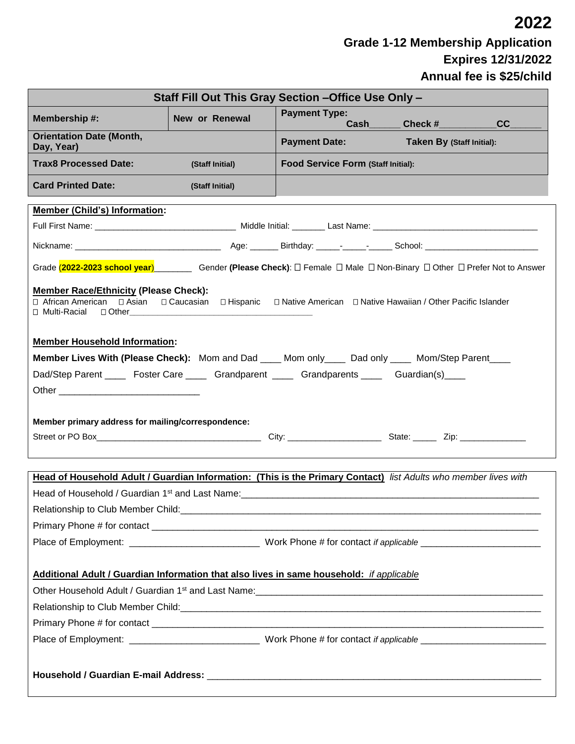**2022 Grade 1-12 Membership Application Expires 12/31/2022 Annual fee is \$25/child**

| Staff Fill Out This Gray Section - Office Use Only -                                                                                                                                                                          |                 |                                    |                           |  |
|-------------------------------------------------------------------------------------------------------------------------------------------------------------------------------------------------------------------------------|-----------------|------------------------------------|---------------------------|--|
| Membership #:                                                                                                                                                                                                                 | New or Renewal  | <b>Payment Type:</b>               | Cash Check #<br>cc        |  |
| <b>Orientation Date (Month,</b><br>Day, Year)                                                                                                                                                                                 |                 | <b>Payment Date:</b>               | Taken By (Staff Initial): |  |
| <b>Trax8 Processed Date:</b>                                                                                                                                                                                                  | (Staff Initial) | Food Service Form (Staff Initial): |                           |  |
| <b>Card Printed Date:</b>                                                                                                                                                                                                     | (Staff Initial) |                                    |                           |  |
| <b>Member (Child's) Information:</b>                                                                                                                                                                                          |                 |                                    |                           |  |
|                                                                                                                                                                                                                               |                 |                                    |                           |  |
|                                                                                                                                                                                                                               |                 |                                    |                           |  |
| Grade (2022-2023 school year) Gender (Please Check): $\Box$ Female $\Box$ Male $\Box$ Non-Binary $\Box$ Other $\Box$ Prefer Not to Answer                                                                                     |                 |                                    |                           |  |
| <b>Member Race/Ethnicity (Please Check):</b><br>□ African American<br>□ Asian □ Caucasian □ Hispanic □ Native American □ Native Hawaiian / Other Pacific Islander<br>□ Multi-Racial                                           |                 |                                    |                           |  |
| <b>Member Household Information:</b>                                                                                                                                                                                          |                 |                                    |                           |  |
| Member Lives With (Please Check): Mom and Dad ____ Mom only ____ Dad only ____ Mom/Step Parent ____                                                                                                                           |                 |                                    |                           |  |
| Dad/Step Parent _______ Foster Care ________ Grandparent _______ Grandparents ______ Guardian(s)____                                                                                                                          |                 |                                    |                           |  |
| Other and the contract of the contract of the contract of the contract of the contract of the contract of the contract of the contract of the contract of the contract of the contract of the contract of the contract of the |                 |                                    |                           |  |
|                                                                                                                                                                                                                               |                 |                                    |                           |  |
| Member primary address for mailing/correspondence:                                                                                                                                                                            |                 |                                    |                           |  |
| Street or PO Box 2001 City: City: City: State: Zip: 2001 2002                                                                                                                                                                 |                 |                                    |                           |  |
|                                                                                                                                                                                                                               |                 |                                    |                           |  |
| Head of Household Adult / Guardian Information: (This is the Primary Contact) list Adults who member lives with                                                                                                               |                 |                                    |                           |  |
|                                                                                                                                                                                                                               |                 |                                    |                           |  |
|                                                                                                                                                                                                                               |                 |                                    |                           |  |
|                                                                                                                                                                                                                               |                 |                                    |                           |  |
|                                                                                                                                                                                                                               |                 |                                    |                           |  |
| Additional Adult / Guardian Information that also lives in same household: if applicable                                                                                                                                      |                 |                                    |                           |  |
| Other Household Adult / Guardian 1st and Last Name: \\connect\\connect\\connect\\connect\\connect\\connect\\conn                                                                                                              |                 |                                    |                           |  |
|                                                                                                                                                                                                                               |                 |                                    |                           |  |
|                                                                                                                                                                                                                               |                 |                                    |                           |  |
|                                                                                                                                                                                                                               |                 |                                    |                           |  |
|                                                                                                                                                                                                                               |                 |                                    |                           |  |
|                                                                                                                                                                                                                               |                 |                                    |                           |  |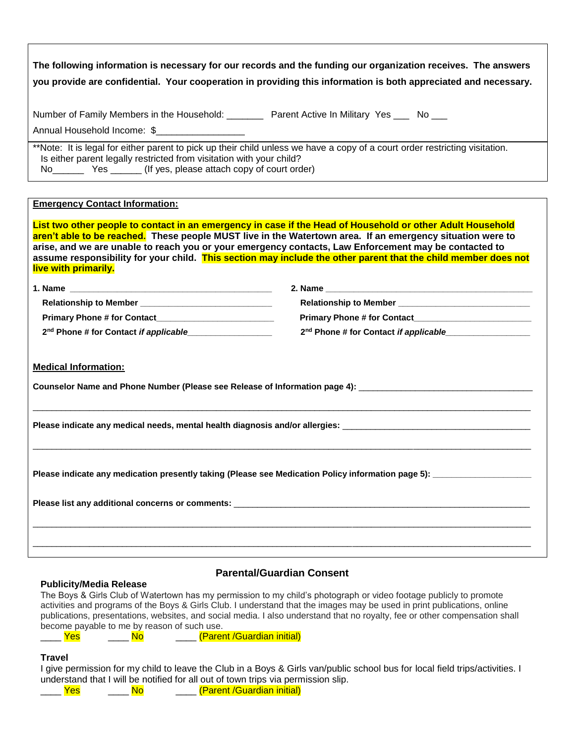| The following information is necessary for our records and the funding our organization receives. The answers<br>you provide are confidential. Your cooperation in providing this information is both appreciated and necessary.                                                                                                                              |                                                                                                                                                                                                                                     |  |  |
|---------------------------------------------------------------------------------------------------------------------------------------------------------------------------------------------------------------------------------------------------------------------------------------------------------------------------------------------------------------|-------------------------------------------------------------------------------------------------------------------------------------------------------------------------------------------------------------------------------------|--|--|
| Number of Family Members in the Household: _________ Parent Active In Military Yes ___ No ___<br>Annual Household Income: \$                                                                                                                                                                                                                                  |                                                                                                                                                                                                                                     |  |  |
| **Note: It is legal for either parent to pick up their child unless we have a copy of a court order restricting visitation.<br>Is either parent legally restricted from visitation with your child?                                                                                                                                                           |                                                                                                                                                                                                                                     |  |  |
| <b>Emergency Contact Information:</b><br>List two other people to contact in an emergency in case if the Head of Household or other Adult Household                                                                                                                                                                                                           |                                                                                                                                                                                                                                     |  |  |
| aren't able to be reached. These people MUST live in the Watertown area. If an emergency situation were to<br>arise, and we are unable to reach you or your emergency contacts, Law Enforcement may be contacted to<br>assume responsibility for your child. This section may include the other parent that the child member does not<br>live with primarily. |                                                                                                                                                                                                                                     |  |  |
|                                                                                                                                                                                                                                                                                                                                                               |                                                                                                                                                                                                                                     |  |  |
|                                                                                                                                                                                                                                                                                                                                                               | Relationship to Member <b>Manual</b> Property and Contract the Contract of the Contract of the Contract of the Contract of the Contract of the Contract of the Contract of the Contract of the Contract of the Contract of the Cont |  |  |
|                                                                                                                                                                                                                                                                                                                                                               | Primary Phone # for Contact_____________________________                                                                                                                                                                            |  |  |
|                                                                                                                                                                                                                                                                                                                                                               | 2 <sup>nd</sup> Phone # for Contact if applicable <b>Fig. 2008</b>                                                                                                                                                                  |  |  |
| <b>Medical Information:</b>                                                                                                                                                                                                                                                                                                                                   |                                                                                                                                                                                                                                     |  |  |
| Counselor Name and Phone Number (Please see Release of Information page 4): [1999] Counselor Name and Phone Number                                                                                                                                                                                                                                            |                                                                                                                                                                                                                                     |  |  |
|                                                                                                                                                                                                                                                                                                                                                               |                                                                                                                                                                                                                                     |  |  |
| Please indicate any medication presently taking (Please see Medication Policy information page 5): _________________                                                                                                                                                                                                                                          |                                                                                                                                                                                                                                     |  |  |
|                                                                                                                                                                                                                                                                                                                                                               |                                                                                                                                                                                                                                     |  |  |
|                                                                                                                                                                                                                                                                                                                                                               |                                                                                                                                                                                                                                     |  |  |
|                                                                                                                                                                                                                                                                                                                                                               |                                                                                                                                                                                                                                     |  |  |

#### **Publicity/Media Release**

### **Parental/Guardian Consent**

The Boys & Girls Club of Watertown has my permission to my child's photograph or video footage publicly to promote activities and programs of the Boys & Girls Club. I understand that the images may be used in print publications, online publications, presentations, websites, and social media. I also understand that no royalty, fee or other compensation shall become payable to me by reason of such use.

No (Parent /Guardian initial)

#### **Travel**

I give permission for my child to leave the Club in a Boys & Girls van/public school bus for local field trips/activities. I understand that I will be notified for all out of town trips via permission slip.

\_\_\_\_ Yes \_\_\_\_ No \_\_\_\_ (Parent /Guardian initial)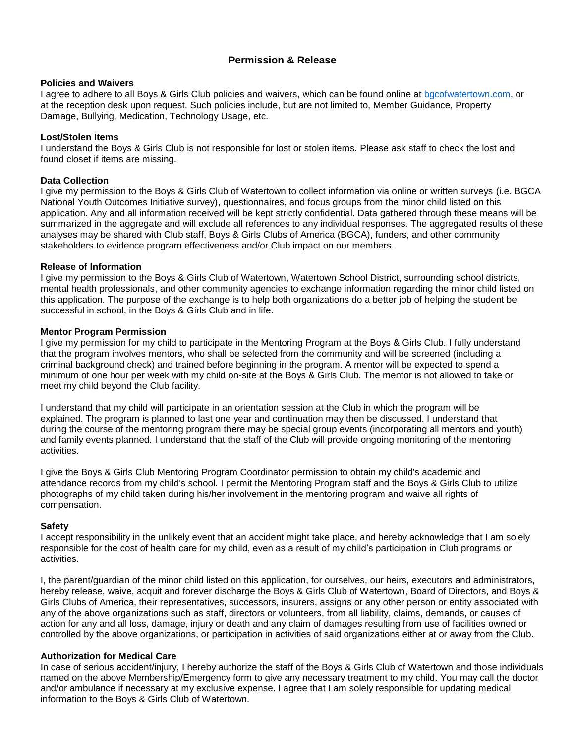### **Permission & Release**

#### **Policies and Waivers**

I agree to adhere to all Boys & Girls Club policies and waivers, which can be found online at [bgcofwatertown.com,](https://bgcofwatertown.com/bgc/wp-content/uploads/2019/11/Boys-Girls-Club-of-Watertown-Policies-2019-2020.pdf) or at the reception desk upon request. Such policies include, but are not limited to, Member Guidance, Property Damage, Bullying, Medication, Technology Usage, etc.

#### **Lost/Stolen Items**

I understand the Boys & Girls Club is not responsible for lost or stolen items. Please ask staff to check the lost and found closet if items are missing.

#### **Data Collection**

I give my permission to the Boys & Girls Club of Watertown to collect information via online or written surveys (i.e. BGCA National Youth Outcomes Initiative survey), questionnaires, and focus groups from the minor child listed on this application. Any and all information received will be kept strictly confidential. Data gathered through these means will be summarized in the aggregate and will exclude all references to any individual responses. The aggregated results of these analyses may be shared with Club staff, Boys & Girls Clubs of America (BGCA), funders, and other community stakeholders to evidence program effectiveness and/or Club impact on our members.

#### **Release of Information**

I give my permission to the Boys & Girls Club of Watertown, Watertown School District, surrounding school districts, mental health professionals, and other community agencies to exchange information regarding the minor child listed on this application. The purpose of the exchange is to help both organizations do a better job of helping the student be successful in school, in the Boys & Girls Club and in life.

#### **Mentor Program Permission**

I give my permission for my child to participate in the Mentoring Program at the Boys & Girls Club. I fully understand that the program involves mentors, who shall be selected from the community and will be screened (including a criminal background check) and trained before beginning in the program. A mentor will be expected to spend a minimum of one hour per week with my child on-site at the Boys & Girls Club. The mentor is not allowed to take or meet my child beyond the Club facility.

I understand that my child will participate in an orientation session at the Club in which the program will be explained. The program is planned to last one year and continuation may then be discussed. I understand that during the course of the mentoring program there may be special group events (incorporating all mentors and youth) and family events planned. I understand that the staff of the Club will provide ongoing monitoring of the mentoring activities.

I give the Boys & Girls Club Mentoring Program Coordinator permission to obtain my child's academic and attendance records from my child's school. I permit the Mentoring Program staff and the Boys & Girls Club to utilize photographs of my child taken during his/her involvement in the mentoring program and waive all rights of compensation.

#### **Safety**

I accept responsibility in the unlikely event that an accident might take place, and hereby acknowledge that I am solely responsible for the cost of health care for my child, even as a result of my child's participation in Club programs or activities.

I, the parent/guardian of the minor child listed on this application, for ourselves, our heirs, executors and administrators, hereby release, waive, acquit and forever discharge the Boys & Girls Club of Watertown, Board of Directors, and Boys & Girls Clubs of America, their representatives, successors, insurers, assigns or any other person or entity associated with any of the above organizations such as staff, directors or volunteers, from all liability, claims, demands, or causes of action for any and all loss, damage, injury or death and any claim of damages resulting from use of facilities owned or controlled by the above organizations, or participation in activities of said organizations either at or away from the Club.

#### **Authorization for Medical Care**

In case of serious accident/injury, I hereby authorize the staff of the Boys & Girls Club of Watertown and those individuals named on the above Membership/Emergency form to give any necessary treatment to my child. You may call the doctor and/or ambulance if necessary at my exclusive expense. I agree that I am solely responsible for updating medical information to the Boys & Girls Club of Watertown.